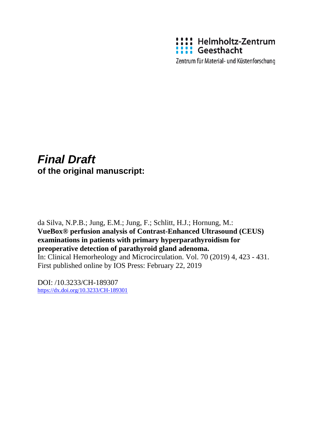

Zentrum für Material- und Küstenforschung

# *Final Draft*  **of the original manuscript:**

da Silva, N.P.B.; Jung, E.M.; Jung, F.; Schlitt, H.J.; Hornung, M.: **VueBox® perfusion analysis of Contrast-Enhanced Ultrasound (CEUS) examinations in patients with primary hyperparathyroidism for preoperative detection of parathyroid gland adenoma.**  In: Clinical Hemorheology and Microcirculation. Vol. 70 (2019) 4, 423 - 431. First published online by IOS Press: February 22, 2019

DOI: /10.3233/CH-189307 <https://dx.doi.org/10.3233/CH-189301>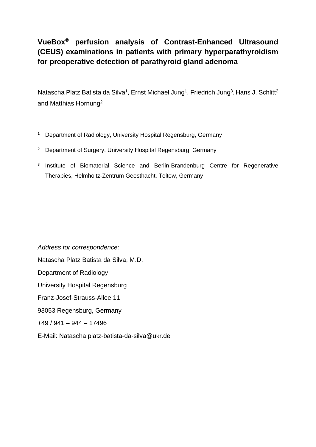# **VueBox® perfusion analysis of Contrast-Enhanced Ultrasound (CEUS) examinations in patients with primary hyperparathyroidism for preoperative detection of parathyroid gland adenoma**

Natascha Platz Batista da Silva<sup>1</sup>, Ernst Michael Jung<sup>1</sup>, Friedrich Jung<sup>3</sup>, Hans J. Schlitt<sup>2</sup> and Matthias Hornung2

- <sup>1</sup> Department of Radiology, University Hospital Regensburg, Germany
- <sup>2</sup> Department of Surgery, University Hospital Regensburg, Germany
- <sup>3</sup> Institute of Biomaterial Science and Berlin-Brandenburg Centre for Regenerative Therapies, Helmholtz-Zentrum Geesthacht, Teltow, Germany

*Address for correspondence:* Natascha Platz Batista da Silva, M.D. Department of Radiology University Hospital Regensburg Franz-Josef-Strauss-Allee 11 93053 Regensburg, Germany  $+49/941 - 944 - 17496$ E-Mail: Natascha.platz-batista-da-silva@ukr.de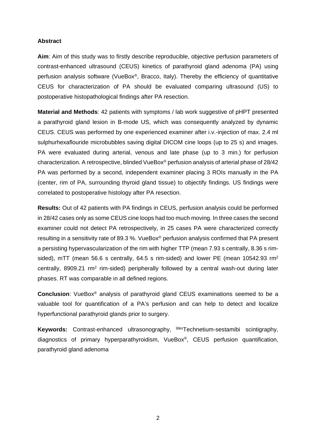# **Abstract**

**Aim**: Aim of this study was to firstly describe reproducible, objective perfusion parameters of contrast-enhanced ultrasound (CEUS) kinetics of parathyroid gland adenoma (PA) using perfusion analysis software (VueBox®, Bracco, Italy). Thereby the efficiency of quantitative CEUS for characterization of PA should be evaluated comparing ultrasound (US) to postoperative histopathological findings after PA resection.

**Material and Methods**: 42 patients with symptoms / lab work suggestive of pHPT presented a parathyroid gland lesion in B-mode US, which was consequently analyzed by dynamic CEUS. CEUS was performed by one experienced examiner after i.v.-injection of max. 2.4 ml sulphurhexaflouride microbubbles saving digital DICOM cine loops (up to 25 s) and images. PA were evaluated during arterial, venous and late phase (up to 3 min.) for perfusion characterization. A retrospective, blinded VueBox® perfusion analysis of arterial phase of 28/42 PA was performed by a second, independent examiner placing 3 ROIs manually in the PA (center, rim of PA, surrounding thyroid gland tissue) to objectify findings. US findings were correlated to postoperative histology after PA resection.

**Results:** Out of 42 patients with PA findings in CEUS, perfusion analysis could be performed in 28/42 cases only as some CEUS cine loops had too much moving. In three cases the second examiner could not detect PA retrospectively, in 25 cases PA were characterized correctly resulting in a sensitivity rate of 89.3 %. VueBox® perfusion analysis confirmed that PA present a persisting hypervascularization of the rim with higher TTP (mean 7.93 s centrally, 8.36 s rimsided), mTT (mean 56.6 s centrally, 64.5 s rim-sided) and lower PE (mean 10542.93  $rm<sup>2</sup>$ centrally, 8909.21 rm2 rim-sided) peripherally followed by a central wash-out during later phases. RT was comparable in all defined regions.

**Conclusion**: VueBox® analysis of parathyroid gland CEUS examinations seemed to be a valuable tool for quantification of a PA's perfusion and can help to detect and localize hyperfunctional parathyroid glands prior to surgery.

**Keywords:** Contrast-enhanced ultrasonography, <sup>99m</sup>Technetium-sestamibi scintigraphy, diagnostics of primary hyperparathyroidism, VueBox®, CEUS perfusion quantification, parathyroid gland adenoma

2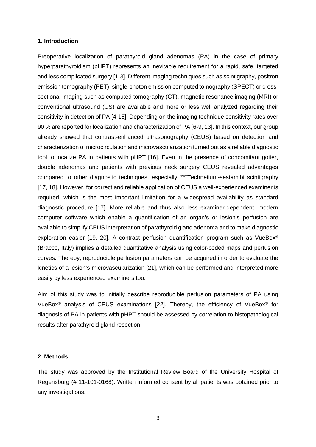#### **1. Introduction**

Preoperative localization of parathyroid gland adenomas (PA) in the case of primary hyperparathyroidism (pHPT) represents an inevitable requirement for a rapid, safe, targeted and less complicated surgery [1-3]. Different imaging techniques such as scintigraphy, positron emission tomography (PET), single-photon emission computed tomography (SPECT) or crosssectional imaging such as computed tomography (CT), magnetic resonance imaging (MRI) or conventional ultrasound (US) are available and more or less well analyzed regarding their sensitivity in detection of PA [4-15]. Depending on the imaging technique sensitivity rates over 90 % are reported for localization and characterization of PA [6-9, 13]. In this context, our group already showed that contrast-enhanced ultrasonography (CEUS) based on detection and characterization of microcirculation and microvascularization turned out as a reliable diagnostic tool to localize PA in patients with pHPT [16]. Even in the presence of concomitant goiter, double adenomas and patients with previous neck surgery CEUS revealed advantages compared to other diagnostic techniques, especially 99mTechnetium-sestamibi scintigraphy [17, 18]. However, for correct and reliable application of CEUS a well-experienced examiner is required, which is the most important limitation for a widespread availability as standard diagnostic procedure [17]. More reliable and thus also less examiner-dependent, modern computer software which enable a quantification of an organ's or lesion's perfusion are available to simplify CEUS interpretation of parathyroid gland adenoma and to make diagnostic exploration easier [19, 20]. A contrast perfusion quantification program such as VueBox® (Bracco, Italy) implies a detailed quantitative analysis using color-coded maps and perfusion curves. Thereby, reproducible perfusion parameters can be acquired in order to evaluate the kinetics of a lesion's microvascularization [21], which can be performed and interpreted more easily by less experienced examiners too.

Aim of this study was to initially describe reproducible perfusion parameters of PA using VueBox® analysis of CEUS examinations [22]. Thereby, the efficiency of VueBox® for diagnosis of PA in patients with pHPT should be assessed by correlation to histopathological results after parathyroid gland resection.

#### **2. Methods**

The study was approved by the Institutional Review Board of the University Hospital of Regensburg (# 11-101-0168). Written informed consent by all patients was obtained prior to any investigations.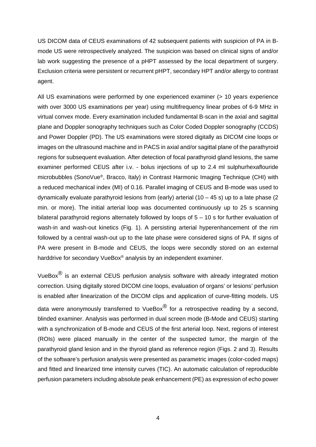US DICOM data of CEUS examinations of 42 subsequent patients with suspicion of PA in Bmode US were retrospectively analyzed. The suspicion was based on clinical signs of and/or lab work suggesting the presence of a pHPT assessed by the local department of surgery. Exclusion criteria were persistent or recurrent pHPT, secondary HPT and/or allergy to contrast agent.

All US examinations were performed by one experienced examiner (> 10 years experience with over 3000 US examinations per year) using multifrequency linear probes of 6-9 MHz in virtual convex mode. Every examination included fundamental B-scan in the axial and sagittal plane and Doppler sonography techniques such as Color Coded Doppler sonography (CCDS) and Power Doppler (PD). The US examinations were stored digitally as DICOM cine loops or images on the ultrasound machine and in PACS in axial and/or sagittal plane of the parathyroid regions for subsequent evaluation. After detection of focal parathyroid gland lesions, the same examiner performed CEUS after i.v. - bolus injections of up to 2.4 ml sulphurhexaflouride microbubbles (SonoVue®, Bracco, Italy) in Contrast Harmonic Imaging Technique (CHI) with a reduced mechanical index (MI) of 0.16. Parallel imaging of CEUS and B-mode was used to dynamically evaluate parathyroid lesions from (early) arterial  $(10 - 45 s)$  up to a late phase  $(2 s)$ min. or more). The initial arterial loop was documented continuously up to 25 s scanning bilateral parathyroid regions alternately followed by loops of 5 – 10 s for further evaluation of wash-in and wash-out kinetics (Fig. 1). A persisting arterial hyperenhancement of the rim followed by a central wash-out up to the late phase were considered signs of PA. If signs of PA were present in B-mode and CEUS, the loops were secondly stored on an external harddrive for secondary VueBox<sup>®</sup> analysis by an independent examiner.

VueBox $^{\circledR}$  is an external CEUS perfusion analysis software with already integrated motion correction. Using digitally stored DICOM cine loops, evaluation of organs' or lesions' perfusion is enabled after linearization of the DICOM clips and application of curve-fitting models. US data were anonymously transferred to VueBox $^{\circledR}$  for a retrospective reading by a second, blinded examiner. Analysis was performed in dual screen mode (B-Mode and CEUS) starting with a synchronization of B-mode and CEUS of the first arterial loop. Next, regions of interest (ROIs) were placed manually in the center of the suspected tumor, the margin of the parathyroid gland lesion and in the thyroid gland as reference region (Figs. 2 and 3). Results of the software's perfusion analysis were presented as parametric images (color-coded maps) and fitted and linearized time intensity curves (TIC). An automatic calculation of reproducible perfusion parameters including absolute peak enhancement (PE) as expression of echo power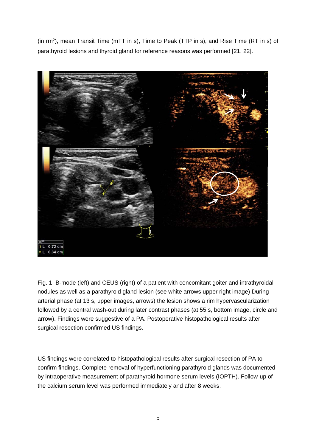(in rm2), mean Transit Time (mTT in s), Time to Peak (TTP in s), and Rise Time (RT in s) of parathyroid lesions and thyroid gland for reference reasons was performed [21, 22].



Fig. 1. B-mode (left) and CEUS (right) of a patient with concomitant goiter and intrathyroidal nodules as well as a parathyroid gland lesion (see white arrows upper right image) During arterial phase (at 13 s, upper images, arrows) the lesion shows a rim hypervascularization followed by a central wash-out during later contrast phases (at 55 s, bottom image, circle and arrow). Findings were suggestive of a PA. Postoperative histopathological results after surgical resection confirmed US findings.

US findings were correlated to histopathological results after surgical resection of PA to confirm findings. Complete removal of hyperfunctioning parathyroid glands was documented by intraoperative measurement of parathyroid hormone serum levels (IOPTH). Follow-up of the calcium serum level was performed immediately and after 8 weeks.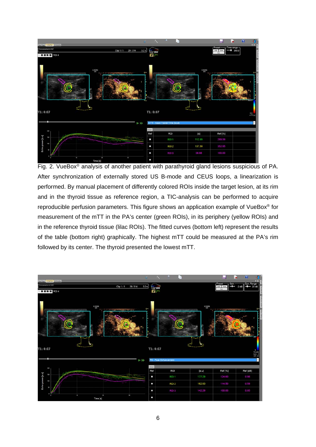

Fig. 2. VueBox® analysis of another patient with parathyroid gland lesions suspicious of PA. After synchronization of externally stored US B-mode and CEUS loops, a linearization is performed. By manual placement of differently colored ROIs inside the target lesion, at its rim and in the thyroid tissue as reference region, a TIC-analysis can be performed to acquire reproducible perfusion parameters. This figure shows an application example of VueBox® for measurement of the mTT in the PA's center (green ROIs), in its periphery (yellow ROIs) and in the reference thyroid tissue (lilac ROIs). The fitted curves (bottom left) represent the results of the table (bottom right) graphically. The highest mTT could be measured at the PA's rim followed by its center. The thyroid presented the lowest mTT.

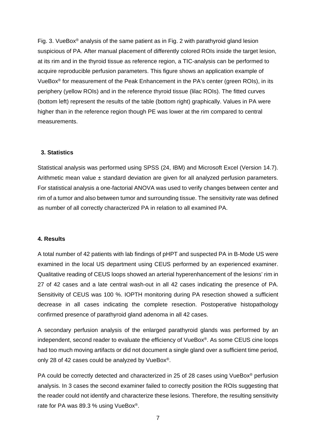Fig. 3. VueBox® analysis of the same patient as in Fig. 2 with parathyroid gland lesion suspicious of PA. After manual placement of differently colored ROIs inside the target lesion, at its rim and in the thyroid tissue as reference region, a TIC-analysis can be performed to acquire reproducible perfusion parameters. This figure shows an application example of VueBox® for measurement of the Peak Enhancement in the PA's center (green ROIs), in its periphery (yellow ROIs) and in the reference thyroid tissue (lilac ROIs). The fitted curves (bottom left) represent the results of the table (bottom right) graphically. Values in PA were higher than in the reference region though PE was lower at the rim compared to central measurements.

## **3. Statistics**

Statistical analysis was performed using SPSS (24, IBM) and Microsoft Excel (Version 14.7). Arithmetic mean value  $\pm$  standard deviation are given for all analyzed perfusion parameters. For statistical analysis a one-factorial ANOVA was used to verify changes between center and rim of a tumor and also between tumor and surrounding tissue. The sensitivity rate was defined as number of all correctly characterized PA in relation to all examined PA.

#### **4. Results**

A total number of 42 patients with lab findings of pHPT and suspected PA in B-Mode US were examined in the local US department using CEUS performed by an experienced examiner. Qualitative reading of CEUS loops showed an arterial hyperenhancement of the lesions' rim in 27 of 42 cases and a late central wash-out in all 42 cases indicating the presence of PA. Sensitivity of CEUS was 100 %. IOPTH monitoring during PA resection showed a sufficient decrease in all cases indicating the complete resection. Postoperative histopathology confirmed presence of parathyroid gland adenoma in all 42 cases.

A secondary perfusion analysis of the enlarged parathyroid glands was performed by an independent, second reader to evaluate the efficiency of VueBox®. As some CEUS cine loops had too much moving artifacts or did not document a single gland over a sufficient time period, only 28 of 42 cases could be analyzed by VueBox®.

PA could be correctly detected and characterized in 25 of 28 cases using VueBox<sup>®</sup> perfusion analysis. In 3 cases the second examiner failed to correctly position the ROIs suggesting that the reader could not identify and characterize these lesions. Therefore, the resulting sensitivity rate for PA was 89.3 % using VueBox®.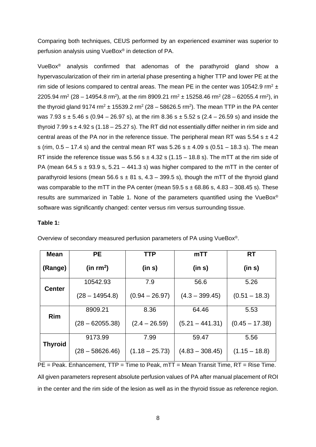Comparing both techniques, CEUS performed by an experienced examiner was superior to perfusion analysis using VueBox® in detection of PA.

VueBox® analysis confirmed that adenomas of the parathyroid gland show a hypervascularization of their rim in arterial phase presenting a higher TTP and lower PE at the rim side of lesions compared to central areas. The mean PE in the center was 10542.9 rm<sup>2</sup>  $\pm$ 2205.94 rm<sup>2</sup> (28 – 14954.8 rm<sup>2</sup>), at the rim 8909.21 rm<sup>2</sup> ± 15258.46 rm<sup>2</sup> (28 – 62055.4 rm<sup>2</sup>), in the thyroid gland 9174 rm<sup>2</sup>  $\pm$  15539.2 rm<sup>2</sup> (28 – 58626.5 rm<sup>2</sup>). The mean TTP in the PA center was 7.93 s  $\pm$  5.46 s (0.94 – 26.97 s), at the rim 8.36 s  $\pm$  5.52 s (2.4 – 26.59 s) and inside the thyroid 7.99 s  $\pm$  4.92 s (1.18 – 25.27 s). The RT did not essentially differ neither in rim side and central areas of the PA nor in the reference tissue. The peripheral mean RT was 5.54 s  $\pm$  4.2 s (rim,  $0.5 - 17.4$  s) and the central mean RT was  $5.26$  s  $\pm$  4.09 s (0.51 – 18.3 s). The mean RT inside the reference tissue was  $5.56$  s  $\pm$  4.32 s (1.15 – 18.8 s). The mTT at the rim side of PA (mean 64.5 s  $\pm$  93.9 s, 5.21 – 441.3 s) was higher compared to the mTT in the center of parathyroid lesions (mean 56.6 s  $\pm$  81 s, 4.3 – 399.5 s), though the mTT of the thyroid gland was comparable to the mTT in the PA center (mean  $59.5 s \pm 68.86 s$ , 4.83 – 308.45 s). These results are summarized in Table 1. None of the parameters quantified using the VueBox® software was significantly changed: center versus rim versus surrounding tissue.

## **Table 1:**

| Mean           | PE.               | <b>TTP</b>       | mTT               | <b>RT</b>        |
|----------------|-------------------|------------------|-------------------|------------------|
| (Range)        | (in $rm^2$ )      | (in s)           | (in s)            | (in s)           |
|                | 10542.93          | 7.9              | 56.6              | 5.26             |
| <b>Center</b>  | $(28 - 14954.8)$  | $(0.94 - 26.97)$ | $(4.3 - 399.45)$  | $(0.51 - 18.3)$  |
| <b>Rim</b>     | 8909.21           | 8.36             | 64.46             | 5.53             |
|                | $(28 - 62055.38)$ | $(2.4 - 26.59)$  | $(5.21 - 441.31)$ | $(0.45 - 17.38)$ |
| <b>Thyroid</b> | 9173.99           | 7.99             | 59.47             | 5.56             |
|                | (28 – 58626.46)   | $(1.18 - 25.73)$ | $(4.83 - 308.45)$ | $(1.15 - 18.8)$  |

Overview of secondary measured perfusion parameters of PA using VueBox®.

PE = Peak. Enhancement, TTP = Time to Peak, mTT = Mean Transit Time, RT = Rise Time. All given parameters represent absolute perfusion values of PA after manual placement of ROI in the center and the rim side of the lesion as well as in the thyroid tissue as reference region.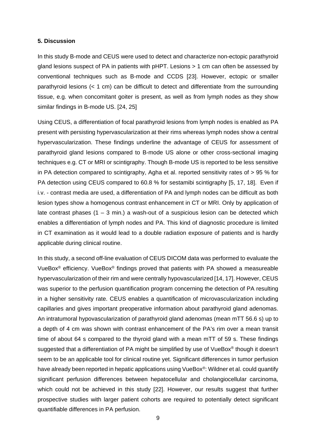#### **5. Discussion**

In this study B-mode and CEUS were used to detect and characterize non-ectopic parathyroid gland lesions suspect of PA in patients with pHPT. Lesions > 1 cm can often be assessed by conventional techniques such as B-mode and CCDS [23]. However, ectopic or smaller parathyroid lesions (< 1 cm) can be difficult to detect and differentiate from the surrounding tissue, e.g. when concomitant goiter is present, as well as from lymph nodes as they show similar findings in B-mode US. [24, 25]

Using CEUS, a differentiation of focal parathyroid lesions from lymph nodes is enabled as PA present with persisting hypervascularization at their rims whereas lymph nodes show a central hypervascularization. These findings underline the advantage of CEUS for assessment of parathyroid gland lesions compared to B-mode US alone or other cross-sectional imaging techniques e.g. CT or MRI or scintigraphy. Though B-mode US is reported to be less sensitive in PA detection compared to scintigraphy, Agha et al. reported sensitivity rates of > 95 % for PA detection using CEUS compared to 60.8 % for sestamibi scintigraphy [5, 17, 18]. Even if i.v. - contrast media are used, a differentiation of PA and lymph nodes can be difficult as both lesion types show a homogenous contrast enhancement in CT or MRI. Only by application of late contrast phases  $(1 - 3 \text{ min.})$  a wash-out of a suspicious lesion can be detected which enables a differentiation of lymph nodes and PA. This kind of diagnostic procedure is limited in CT examination as it would lead to a double radiation exposure of patients and is hardly applicable during clinical routine.

In this study, a second off-line evaluation of CEUS DICOM data was performed to evaluate the VueBox® efficiency. VueBox® findings proved that patients with PA showed a measureable hypervascularization of their rim and were centrally hypovascularized [14, 17]. However, CEUS was superior to the perfusion quantification program concerning the detection of PA resulting in a higher sensitivity rate. CEUS enables a quantification of microvascularization including capillaries and gives important preoperative information about parathyroid gland adenomas. An intratumoral hypovascularization of parathyroid gland adenomas (mean mTT 56.6 s) up to a depth of 4 cm was shown with contrast enhancement of the PA's rim over a mean transit time of about 64 s compared to the thyroid gland with a mean mTT of 59 s. These findings suggested that a differentiation of PA might be simplified by use of VueBox<sup>®</sup> though it doesn't seem to be an applicable tool for clinical routine yet. Significant differences in tumor perfusion have already been reported in hepatic applications using VueBox<sup>®</sup>: Wildner et al. could quantify significant perfusion differences between hepatocellular and cholangiocellular carcinoma, which could not be achieved in this study [22]. However, our results suggest that further prospective studies with larger patient cohorts are required to potentially detect significant quantifiable differences in PA perfusion.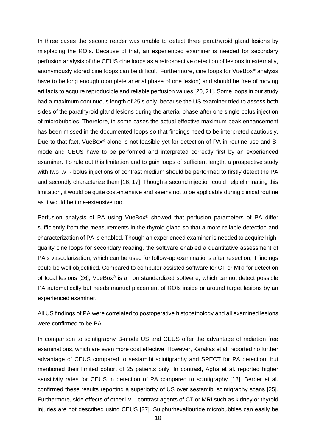In three cases the second reader was unable to detect three parathyroid gland lesions by misplacing the ROIs. Because of that, an experienced examiner is needed for secondary perfusion analysis of the CEUS cine loops as a retrospective detection of lesions in externally, anonymously stored cine loops can be difficult. Furthermore, cine loops for VueBox® analysis have to be long enough (complete arterial phase of one lesion) and should be free of moving artifacts to acquire reproducible and reliable perfusion values [20, 21]. Some loops in our study had a maximum continuous length of 25 s only, because the US examiner tried to assess both sides of the parathyroid gland lesions during the arterial phase after one single bolus injection of microbubbles. Therefore, in some cases the actual effective maximum peak enhancement has been missed in the documented loops so that findings need to be interpreted cautiously. Due to that fact, VueBox® alone is not feasible yet for detection of PA in routine use and Bmode and CEUS have to be performed and interpreted correctly first by an experienced examiner. To rule out this limitation and to gain loops of sufficient length, a prospective study with two i.v. - bolus injections of contrast medium should be performed to firstly detect the PA and secondly characterize them [16, 17]. Though a second injection could help eliminating this limitation, it would be quite cost-intensive and seems not to be applicable during clinical routine as it would be time-extensive too.

Perfusion analysis of PA using VueBox® showed that perfusion parameters of PA differ sufficiently from the measurements in the thyroid gland so that a more reliable detection and characterization of PA is enabled. Though an experienced examiner is needed to acquire highquality cine loops for secondary reading, the software enabled a quantitative assessment of PA's vascularization, which can be used for follow-up examinations after resection, if findings could be well objectified. Compared to computer assisted software for CT or MRI for detection of focal lesions [26], VueBox® is a non standardized software, which cannot detect possible PA automatically but needs manual placement of ROIs inside or around target lesions by an experienced examiner.

All US findings of PA were correlated to postoperative histopathology and all examined lesions were confirmed to be PA.

In comparison to scintigraphy B-mode US and CEUS offer the advantage of radiation free examinations, which are even more cost effective. However, Karakas et al. reported no further advantage of CEUS compared to sestamibi scintigraphy and SPECT for PA detection, but mentioned their limited cohort of 25 patients only. In contrast, Agha et al. reported higher sensitivity rates for CEUS in detection of PA compared to scintigraphy [18]. Berber et al. confirmed these results reporting a superiority of US over sestamibi scintigraphy scans [25]. Furthermore, side effects of other i.v. - contrast agents of CT or MRI such as kidney or thyroid injuries are not described using CEUS [27]. Sulphurhexaflouride microbubbles can easily be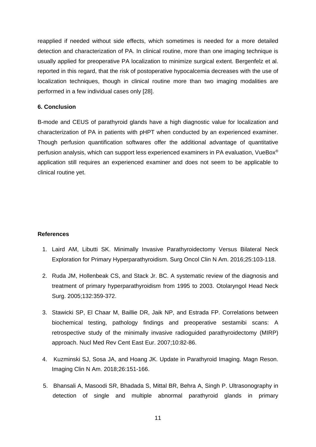reapplied if needed without side effects, which sometimes is needed for a more detailed detection and characterization of PA. In clinical routine, more than one imaging technique is usually applied for preoperative PA localization to minimize surgical extent. Bergenfelz et al. reported in this regard, that the risk of postoperative hypocalcemia decreases with the use of localization techniques, though in clinical routine more than two imaging modalities are performed in a few individual cases only [28].

# **6. Conclusion**

B-mode and CEUS of parathyroid glands have a high diagnostic value for localization and characterization of PA in patients with pHPT when conducted by an experienced examiner. Though perfusion quantification softwares offer the additional advantage of quantitative perfusion analysis, which can support less experienced examiners in PA evaluation, VueBox® application still requires an experienced examiner and does not seem to be applicable to clinical routine yet.

#### **References**

- 1. Laird AM, Libutti SK. Minimally Invasive Parathyroidectomy Versus Bilateral Neck Exploration for Primary Hyperparathyroidism. Surg Oncol Clin N Am. 2016;25:103-118.
- 2. Ruda JM, Hollenbeak CS, and Stack Jr. BC. A systematic review of the diagnosis and treatment of primary hyperparathyroidism from 1995 to 2003. Otolaryngol Head Neck Surg. 2005;132:359-372.
- 3. Stawicki SP, El Chaar M, Baillie DR, Jaik NP, and Estrada FP. Correlations between biochemical testing, pathology findings and preoperative sestamibi scans: A retrospective study of the minimally invasive radioguided parathyroidectomy (MIRP) approach. Nucl Med Rev Cent East Eur. 2007;10:82-86.
- 4. Kuzminski SJ, Sosa JA, and Hoang JK. Update in Parathyroid Imaging. Magn Reson. Imaging Clin N Am. 2018;26:151-166.
- 5. Bhansali A, Masoodi SR, Bhadada S, Mittal BR, Behra A, Singh P. Ultrasonography in detection of single and multiple abnormal parathyroid glands in primary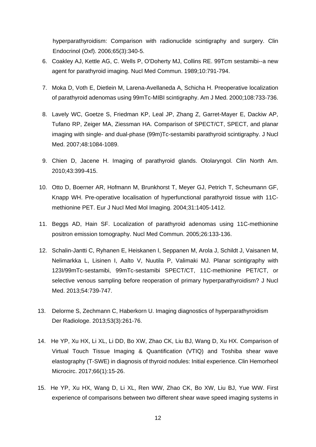hyperparathyroidism: Comparison with radionuclide scintigraphy and surgery. Clin Endocrinol (Oxf). 2006;65(3):340-5.

- 6. Coakley AJ, Kettle AG, C. Wells P, O'Doherty MJ, Collins RE. 99Tcm sestamibi--a new agent for parathyroid imaging. Nucl Med Commun. 1989;10:791-794.
- 7. Moka D, Voth E, Dietlein M, Larena-Avellaneda A, Schicha H. Preoperative localization of parathyroid adenomas using 99mTc-MIBI scintigraphy. Am J Med. 2000;108:733-736.
- 8. Lavely WC, Goetze S, Friedman KP, Leal JP, Zhang Z, Garret-Mayer E, Dackiw AP, Tufano RP, Zeiger MA, Ziessman HA. Comparison of SPECT/CT, SPECT, and planar imaging with single- and dual-phase (99m)Tc-sestamibi parathyroid scintigraphy. J Nucl Med. 2007;48:1084-1089.
- 9. Chien D, Jacene H. Imaging of parathyroid glands. Otolaryngol. Clin North Am. 2010;43:399-415.
- 10. Otto D, Boerner AR, Hofmann M, Brunkhorst T, Meyer GJ, Petrich T, Scheumann GF, Knapp WH. Pre-operative localisation of hyperfunctional parathyroid tissue with 11Cmethionine PET. Eur J Nucl Med Mol Imaging. 2004;31:1405-1412.
- 11. Beggs AD, Hain SF. Localization of parathyroid adenomas using 11C-methionine positron emission tomography. Nucl Med Commun. 2005;26:133-136.
- 12. Schalin-Jantti C, Ryhanen E, Heiskanen I, Seppanen M, Arola J, Schildt J, Vaisanen M, Nelimarkka L, Lisinen I, Aalto V, Nuutila P, Valimaki MJ. Planar scintigraphy with 123I/99mTc-sestamibi, 99mTc-sestamibi SPECT/CT, 11C-methionine PET/CT, or selective venous sampling before reoperation of primary hyperparathyroidism? J Nucl Med. 2013;54:739-747.
- 13. Delorme S, Zechmann C, Haberkorn U. Imaging diagnostics of hyperparathyroidism Der Radiologe. 2013;53(3):261-76.
- 14. He YP, Xu HX, Li XL, Li DD, Bo XW, Zhao CK, Liu BJ, Wang D, Xu HX. Comparison of Virtual Touch Tissue Imaging & Quantification (VTIQ) and Toshiba shear wave elastography (T-SWE) in diagnosis of thyroid nodules: Initial experience. Clin Hemorheol Microcirc. 2017;66(1):15-26.
- 15. He YP, Xu HX, Wang D, Li XL, Ren WW, Zhao CK, Bo XW, Liu BJ, Yue WW. First experience of comparisons between two different shear wave speed imaging systems in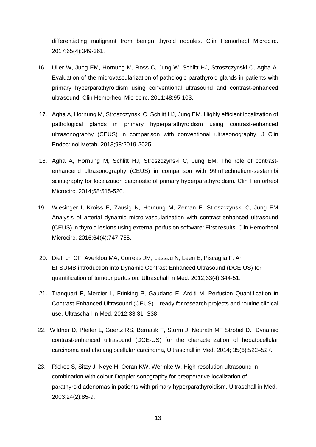differentiating malignant from benign thyroid nodules. Clin Hemorheol Microcirc. 2017;65(4):349-361.

- 16. Uller W, Jung EM, Hornung M, Ross C, Jung W, Schlitt HJ, Stroszczynski C, Agha A. Evaluation of the microvascularization of pathologic parathyroid glands in patients with primary hyperparathyroidism using conventional ultrasound and contrast-enhanced ultrasound. Clin Hemorheol Microcirc. 2011;48:95-103.
- 17. Agha A, Hornung M, Stroszczynski C, Schlitt HJ, Jung EM. Highly efficient localization of pathological glands in primary hyperparathyroidism using contrast-enhanced ultrasonography (CEUS) in comparison with conventional ultrasonography. J Clin Endocrinol Metab. 2013;98:2019-2025.
- 18. Agha A, Hornung M, Schlitt HJ, Stroszczynski C, Jung EM. The role of contrastenhancend ultrasonography (CEUS) in comparison with 99mTechnetium-sestamibi scintigraphy for localization diagnostic of primary hyperparathyroidism. Clin Hemorheol Microcirc. 2014;58:515-520.
- 19. Wiesinger I, Kroiss E, Zausig N, Hornung M, Zeman F, Stroszczynski C, Jung EM Analysis of arterial dynamic micro-vascularization with contrast-enhanced ultrasound (CEUS) in thyroid lesions using external perfusion software: First results. Clin Hemorheol Microcirc. 2016;64(4):747-755.
- 20. Dietrich CF, Averklou MA, Correas JM, Lassau N, Leen E, Piscaglia F. An EFSUMB introduction into Dynamic Contrast-Enhanced Ultrasound (DCE-US) for quantification of tumour perfusion. Ultraschall in Med. 2012;33(4):344-51.
- 21. Tranquart F, Mercier L, Frinking P, Gaudand E, Arditi M, Perfusion Quantification in Contrast-Enhanced Ultrasound (CEUS) – ready for research projects and routine clinical use. Ultraschall in Med. 2012;33:31–S38.
- 22. Wildner D, Pfeifer L, Goertz RS, Bernatik T, Sturm J, Neurath MF Strobel D. Dynamic contrast-enhanced ultrasound (DCE-US) for the characterization of hepatocellular carcinoma and cholangiocellular carcinoma, Ultraschall in Med. 2014; 35(6):522–527.
- 23. Rickes S, Sitzy J, Neye H, Ocran KW, Wermke W. High-resolution ultrasound in combination with colour-Doppler sonography for preoperative localization of parathyroid adenomas in patients with primary hyperparathyroidism. Ultraschall in Med. 2003;24(2):85-9.